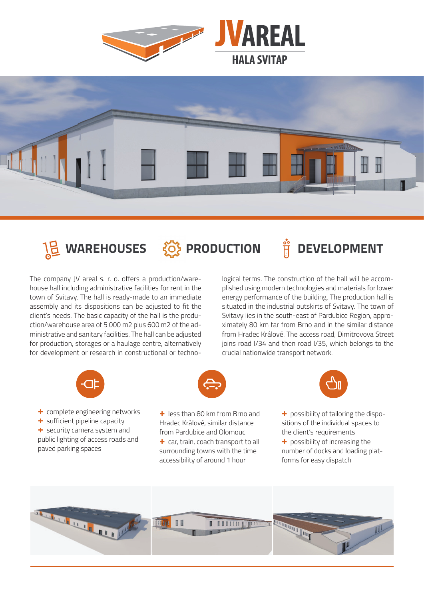







The company JV areal s. r. o. offers a production/warehouse hall including administrative facilities for rent in the town of Svitavy. The hall is ready-made to an immediate assembly and its dispositions can be adjusted to fit the client's needs. The basic capacity of the hall is the production/warehouse area of 5 000 m2 plus 600 m2 of the administrative and sanitary facilities. The hall can be adjusted for production, storages or a haulage centre, alternatively for development or research in constructional or technological terms. The construction of the hall will be accomplished using modern technologies and materials for lower energy performance of the building. The production hall is situated in the industrial outskirts of Svitavy. The town of Svitavy lies in the south-east of Pardubice Region, approximately 80 km far from Brno and in the similar distance from Hradec Králové. The access road, Dimitrovova Street joins road I/34 and then road I/35, which belongs to the crucial nationwide transport network.



**+** complete engineering networks **+** sufficient pipeline capacity **+** security camera system and public lighting of access roads and

paved parking spaces

from Pardubice and Olomouc **+** car, train, coach transport to all surrounding towns with the time accessibility of around 1 hour



**+** less than 80 km from Brno and Hradec Králové, similar distance **+** possibility of tailoring the dispositions of the individual spaces to the client's requirements

> **+** possibility of increasing the number of docks and loading platforms for easy dispatch